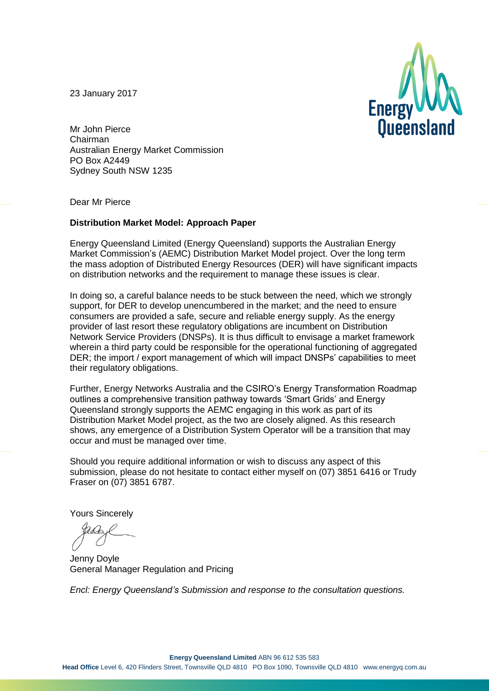23 January 2017



Mr John Pierce Chairman Australian Energy Market Commission PO Box A2449 Sydney South NSW 1235

Dear Mr Pierce

#### **Distribution Market Model: Approach Paper**

Energy Queensland Limited (Energy Queensland) supports the Australian Energy Market Commission's (AEMC) Distribution Market Model project. Over the long term the mass adoption of Distributed Energy Resources (DER) will have significant impacts on distribution networks and the requirement to manage these issues is clear.

In doing so, a careful balance needs to be stuck between the need, which we strongly support, for DER to develop unencumbered in the market; and the need to ensure consumers are provided a safe, secure and reliable energy supply. As the energy provider of last resort these regulatory obligations are incumbent on Distribution Network Service Providers (DNSPs). It is thus difficult to envisage a market framework wherein a third party could be responsible for the operational functioning of aggregated DER; the import / export management of which will impact DNSPs' capabilities to meet their regulatory obligations.

Further, Energy Networks Australia and the CSIRO's Energy Transformation Roadmap outlines a comprehensive transition pathway towards 'Smart Grids' and Energy Queensland strongly supports the AEMC engaging in this work as part of its Distribution Market Model project, as the two are closely aligned. As this research shows, any emergence of a Distribution System Operator will be a transition that may occur and must be managed over time.

Should you require additional information or wish to discuss any aspect of this submission, please do not hesitate to contact either myself on (07) 3851 6416 or Trudy Fraser on (07) 3851 6787.

Yours Sincerely

Jenny Doyle General Manager Regulation and Pricing

*Encl: Energy Queensland's Submission and response to the consultation questions.*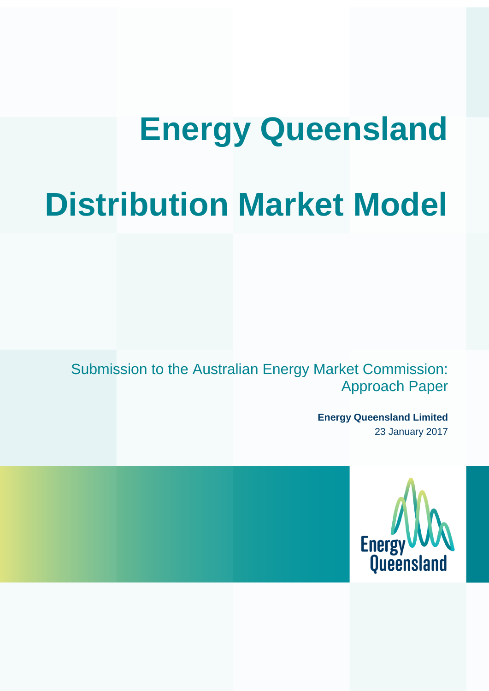# **Energy Queensland**

## **Distribution Market Model**

Submission to the Australian Energy Market Commission: Approach Paper

> **Energy Queensland Limited** 23 January 2017

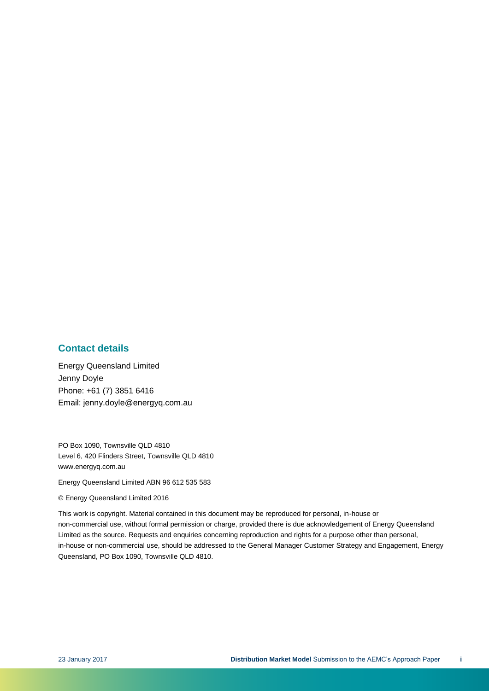#### **Contact details**

Energy Queensland Limited Jenny Doyle Phone: +61 (7) 3851 6416 Email: jenny.doyle@energyq.com.au

PO Box 1090, Townsville QLD 4810 Level 6, 420 Flinders Street, Townsville QLD 4810 www.energyq.com.au

Energy Queensland Limited ABN 96 612 535 583

© Energy Queensland Limited 2016

This work is copyright. Material contained in this document may be reproduced for personal, in-house or non-commercial use, without formal permission or charge, provided there is due acknowledgement of Energy Queensland Limited as the source. Requests and enquiries concerning reproduction and rights for a purpose other than personal, in-house or non-commercial use, should be addressed to the General Manager Customer Strategy and Engagement, Energy Queensland, PO Box 1090, Townsville QLD 4810.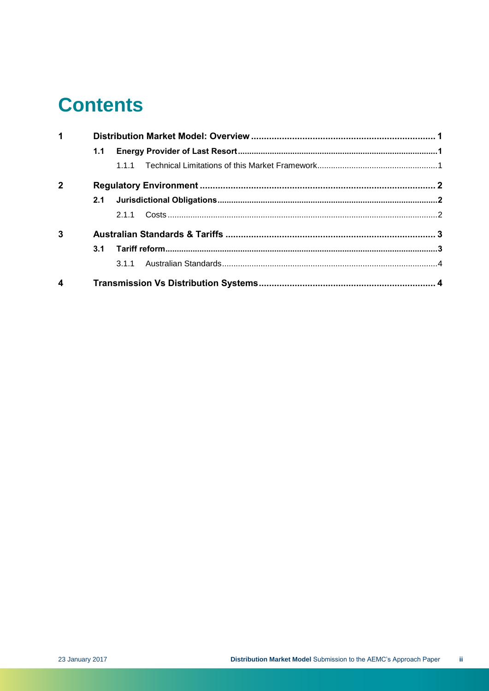### **Contents**

| $\mathbf{1}$   |  |     |  |  |
|----------------|--|-----|--|--|
|                |  |     |  |  |
|                |  |     |  |  |
| $\overline{2}$ |  |     |  |  |
|                |  |     |  |  |
|                |  | 211 |  |  |
| 3              |  |     |  |  |
|                |  |     |  |  |
|                |  |     |  |  |
| 4              |  |     |  |  |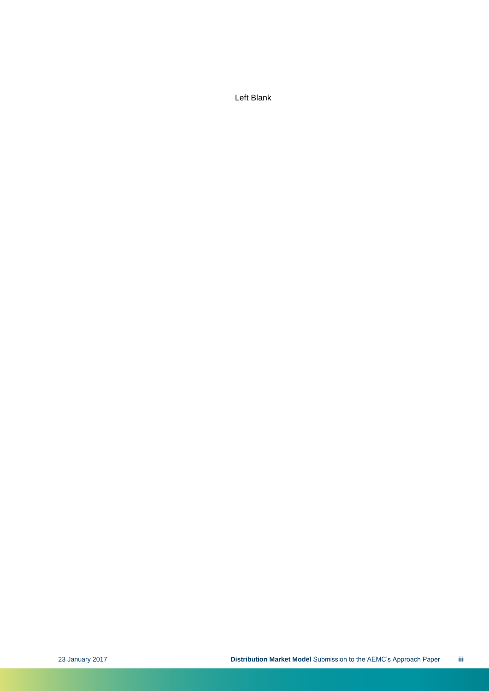Left Blank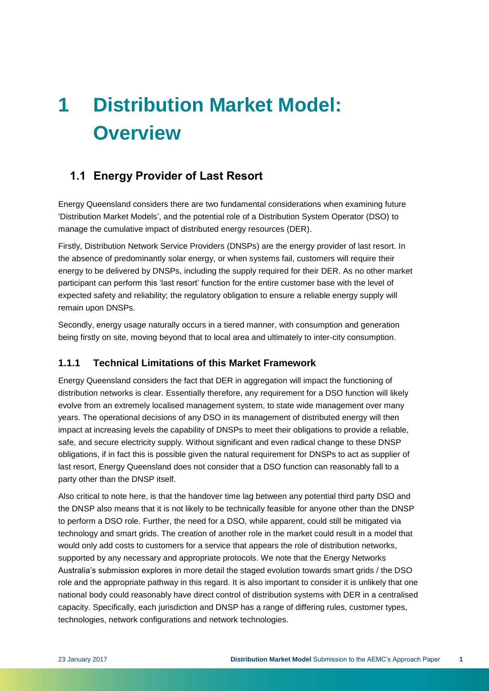### <span id="page-5-0"></span>**1 Distribution Market Model: Overview**

#### <span id="page-5-1"></span>**1.1 Energy Provider of Last Resort**

Energy Queensland considers there are two fundamental considerations when examining future 'Distribution Market Models', and the potential role of a Distribution System Operator (DSO) to manage the cumulative impact of distributed energy resources (DER).

Firstly, Distribution Network Service Providers (DNSPs) are the energy provider of last resort. In the absence of predominantly solar energy, or when systems fail, customers will require their energy to be delivered by DNSPs, including the supply required for their DER. As no other market participant can perform this 'last resort' function for the entire customer base with the level of expected safety and reliability; the regulatory obligation to ensure a reliable energy supply will remain upon DNSPs.

Secondly, energy usage naturally occurs in a tiered manner, with consumption and generation being firstly on site, moving beyond that to local area and ultimately to inter-city consumption.

#### <span id="page-5-2"></span>**1.1.1 Technical Limitations of this Market Framework**

Energy Queensland considers the fact that DER in aggregation will impact the functioning of distribution networks is clear. Essentially therefore, any requirement for a DSO function will likely evolve from an extremely localised management system, to state wide management over many years. The operational decisions of any DSO in its management of distributed energy will then impact at increasing levels the capability of DNSPs to meet their obligations to provide a reliable, safe, and secure electricity supply. Without significant and even radical change to these DNSP obligations, if in fact this is possible given the natural requirement for DNSPs to act as supplier of last resort, Energy Queensland does not consider that a DSO function can reasonably fall to a party other than the DNSP itself.

Also critical to note here, is that the handover time lag between any potential third party DSO and the DNSP also means that it is not likely to be technically feasible for anyone other than the DNSP to perform a DSO role. Further, the need for a DSO, while apparent, could still be mitigated via technology and smart grids. The creation of another role in the market could result in a model that would only add costs to customers for a service that appears the role of distribution networks, supported by any necessary and appropriate protocols. We note that the Energy Networks Australia's submission explores in more detail the staged evolution towards smart grids / the DSO role and the appropriate pathway in this regard. It is also important to consider it is unlikely that one national body could reasonably have direct control of distribution systems with DER in a centralised capacity. Specifically, each jurisdiction and DNSP has a range of differing rules, customer types, technologies, network configurations and network technologies.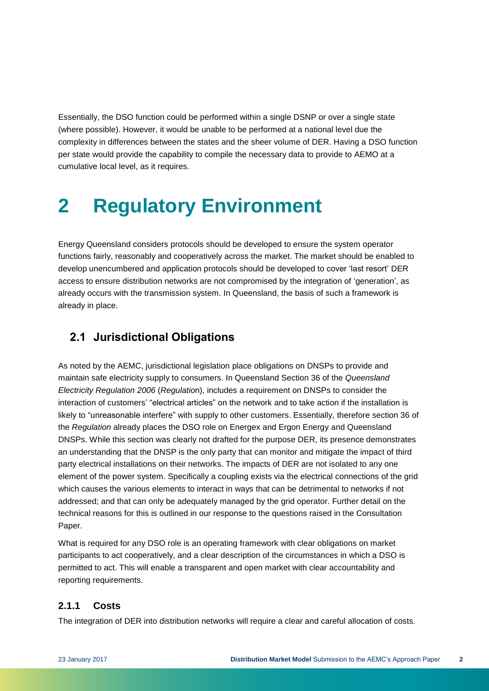Essentially, the DSO function could be performed within a single DSNP or over a single state (where possible). However, it would be unable to be performed at a national level due the complexity in differences between the states and the sheer volume of DER. Having a DSO function per state would provide the capability to compile the necessary data to provide to AEMO at a cumulative local level, as it requires.

### <span id="page-6-0"></span>**2 Regulatory Environment**

Energy Queensland considers protocols should be developed to ensure the system operator functions fairly, reasonably and cooperatively across the market. The market should be enabled to develop unencumbered and application protocols should be developed to cover 'last resort' DER access to ensure distribution networks are not compromised by the integration of 'generation', as already occurs with the transmission system. In Queensland, the basis of such a framework is already in place.

#### <span id="page-6-1"></span>**2.1 Jurisdictional Obligations**

As noted by the AEMC, jurisdictional legislation place obligations on DNSPs to provide and maintain safe electricity supply to consumers. In Queensland Section 36 of the *Queensland Electricity Regulation 2006* (*Regulatio*n), includes a requirement on DNSPs to consider the interaction of customers' "electrical articles" on the network and to take action if the installation is likely to "unreasonable interfere" with supply to other customers. Essentially, therefore section 36 of the *Regulation* already places the DSO role on Energex and Ergon Energy and Queensland DNSPs. While this section was clearly not drafted for the purpose DER, its presence demonstrates an understanding that the DNSP is the only party that can monitor and mitigate the impact of third party electrical installations on their networks. The impacts of DER are not isolated to any one element of the power system. Specifically a coupling exists via the electrical connections of the grid which causes the various elements to interact in ways that can be detrimental to networks if not addressed; and that can only be adequately managed by the grid operator. Further detail on the technical reasons for this is outlined in our response to the questions raised in the Consultation Paper.

What is required for any DSO role is an operating framework with clear obligations on market participants to act cooperatively, and a clear description of the circumstances in which a DSO is permitted to act. This will enable a transparent and open market with clear accountability and reporting requirements.

#### <span id="page-6-2"></span>**2.1.1 Costs**

The integration of DER into distribution networks will require a clear and careful allocation of costs.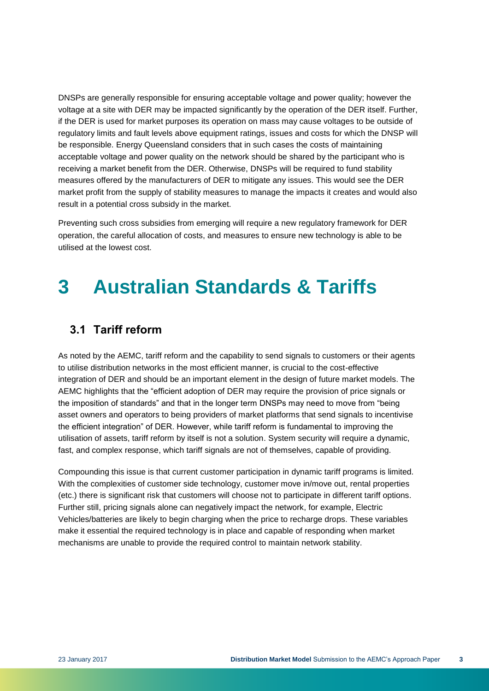DNSPs are generally responsible for ensuring acceptable voltage and power quality; however the voltage at a site with DER may be impacted significantly by the operation of the DER itself. Further, if the DER is used for market purposes its operation on mass may cause voltages to be outside of regulatory limits and fault levels above equipment ratings, issues and costs for which the DNSP will be responsible. Energy Queensland considers that in such cases the costs of maintaining acceptable voltage and power quality on the network should be shared by the participant who is receiving a market benefit from the DER. Otherwise, DNSPs will be required to fund stability measures offered by the manufacturers of DER to mitigate any issues. This would see the DER market profit from the supply of stability measures to manage the impacts it creates and would also result in a potential cross subsidy in the market.

Preventing such cross subsidies from emerging will require a new regulatory framework for DER operation, the careful allocation of costs, and measures to ensure new technology is able to be utilised at the lowest cost.

### <span id="page-7-0"></span>**3 Australian Standards & Tariffs**

#### <span id="page-7-1"></span>**3.1 Tariff reform**

As noted by the AEMC, tariff reform and the capability to send signals to customers or their agents to utilise distribution networks in the most efficient manner, is crucial to the cost-effective integration of DER and should be an important element in the design of future market models. The AEMC highlights that the "efficient adoption of DER may require the provision of price signals or the imposition of standards" and that in the longer term DNSPs may need to move from "being asset owners and operators to being providers of market platforms that send signals to incentivise the efficient integration" of DER. However, while tariff reform is fundamental to improving the utilisation of assets, tariff reform by itself is not a solution. System security will require a dynamic, fast, and complex response, which tariff signals are not of themselves, capable of providing.

Compounding this issue is that current customer participation in dynamic tariff programs is limited. With the complexities of customer side technology, customer move in/move out, rental properties (etc.) there is significant risk that customers will choose not to participate in different tariff options. Further still, pricing signals alone can negatively impact the network, for example, Electric Vehicles/batteries are likely to begin charging when the price to recharge drops. These variables make it essential the required technology is in place and capable of responding when market mechanisms are unable to provide the required control to maintain network stability.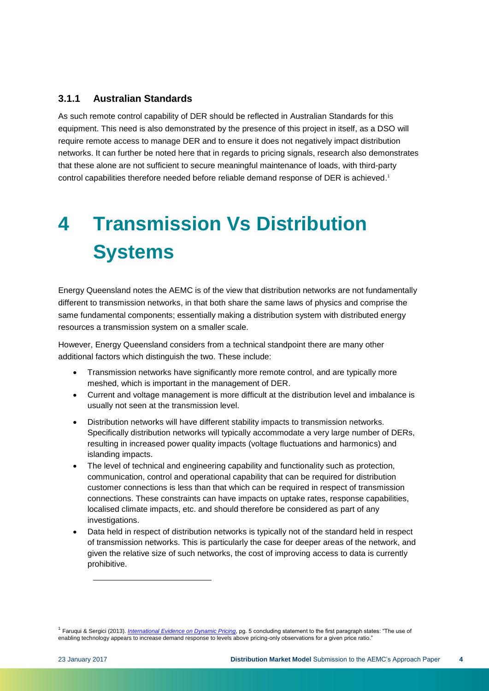#### <span id="page-8-0"></span>**3.1.1 Australian Standards**

As such remote control capability of DER should be reflected in Australian Standards for this equipment. This need is also demonstrated by the presence of this project in itself, as a DSO will require remote access to manage DER and to ensure it does not negatively impact distribution networks. It can further be noted here that in regards to pricing signals, research also demonstrates that these alone are not sufficient to secure meaningful maintenance of loads, with third-party control capabilities therefore needed before reliable demand response of DER is achieved. 1

### <span id="page-8-1"></span>**4 Transmission Vs Distribution Systems**

Energy Queensland notes the AEMC is of the view that distribution networks are not fundamentally different to transmission networks, in that both share the same laws of physics and comprise the same fundamental components; essentially making a distribution system with distributed energy resources a transmission system on a smaller scale.

However, Energy Queensland considers from a technical standpoint there are many other additional factors which distinguish the two. These include:

- Transmission networks have significantly more remote control, and are typically more meshed, which is important in the management of DER.
- Current and voltage management is more difficult at the distribution level and imbalance is usually not seen at the transmission level.
- Distribution networks will have different stability impacts to transmission networks. Specifically distribution networks will typically accommodate a very large number of DERs, resulting in increased power quality impacts (voltage fluctuations and harmonics) and islanding impacts.
- The level of technical and engineering capability and functionality such as protection, communication, control and operational capability that can be required for distribution customer connections is less than that which can be required in respect of transmission connections. These constraints can have impacts on uptake rates, response capabilities, localised climate impacts, etc. and should therefore be considered as part of any investigations.
- Data held in respect of distribution networks is typically not of the standard held in respect of transmission networks. This is particularly the case for deeper areas of the network, and given the relative size of such networks, the cost of improving access to data is currently prohibitive.

l

<sup>&</sup>lt;sup>1</sup> Faruqui & Sergici (2013). *[International Evidence on Dynamic Pricing](https://poseidon01.ssrn.com/delivery.php?ID=890086065101089113025117096082030126018063019065021022098001073088008066126073094087097030044000025028117084083126008023020078037007003021006090106084031126085072121020061081081100027126112083090094072008117098085115079107106093079120097066106100091007&EXT=pdf)*, pg. 5 concluding statement to the first paragraph states: "The use of enabling technology appears to increase demand response to levels above pricing-only observations for a given price ratio."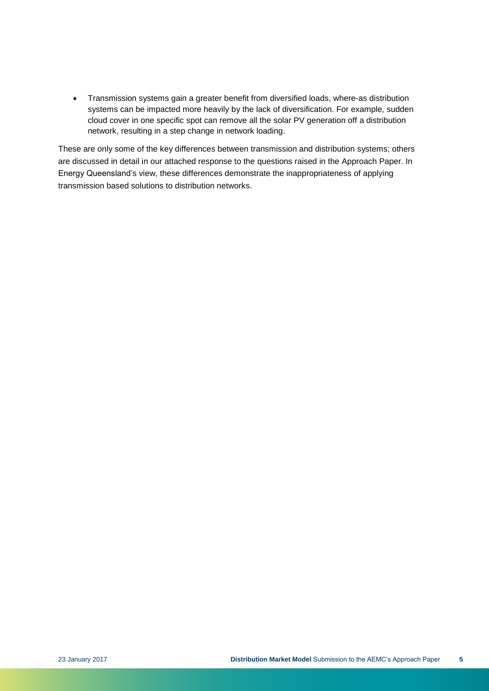Transmission systems gain a greater benefit from diversified loads, where-as distribution systems can be impacted more heavily by the lack of diversification. For example, sudden cloud cover in one specific spot can remove all the solar PV generation off a distribution network, resulting in a step change in network loading.

These are only some of the key differences between transmission and distribution systems; others are discussed in detail in our attached response to the questions raised in the Approach Paper. In Energy Queensland's view, these differences demonstrate the inappropriateness of applying transmission based solutions to distribution networks.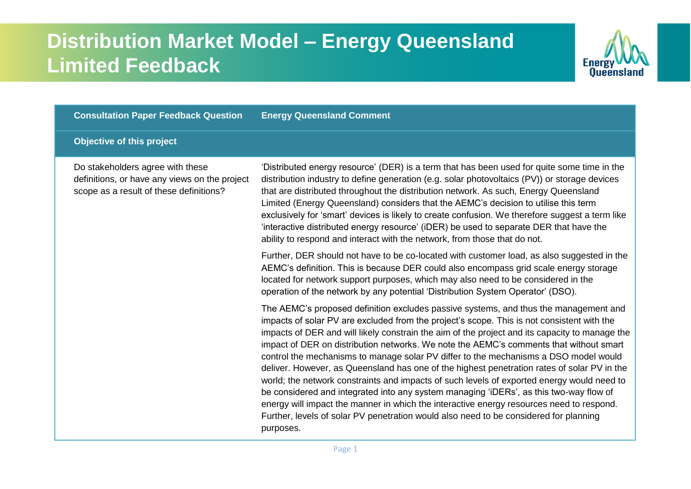

**Consultation Paper Feedback Question Energy Queensland Comment**

#### **Objective of this project**

Do stakeholders agree with these definitions, or have any views on the project scope as a result of these definitions?

'Distributed energy resource' (DER) is a term that has been used for quite some time in the distribution industry to define generation (e.g. solar photovoltaics (PV)) or storage devices that are distributed throughout the distribution network. As such, Energy Queensland Limited (Energy Queensland) considers that the AEMC's decision to utilise this term exclusively for 'smart' devices is likely to create confusion. We therefore suggest a term like 'interactive distributed energy resource' (iDER) be used to separate DER that have the ability to respond and interact with the network, from those that do not.

Further, DER should not have to be co-located with customer load, as also suggested in the AEMC's definition. This is because DER could also encompass grid scale energy storage located for network support purposes, which may also need to be considered in the operation of the network by any potential 'Distribution System Operator' (DSO).

The AEMC's proposed definition excludes passive systems, and thus the management and impacts of solar PV are excluded from the project's scope. This is not consistent with the impacts of DER and will likely constrain the aim of the project and its capacity to manage the impact of DER on distribution networks. We note the AEMC's comments that without smart control the mechanisms to manage solar PV differ to the mechanisms a DSO model would deliver. However, as Queensland has one of the highest penetration rates of solar PV in the world; the network constraints and impacts of such levels of exported energy would need to be considered and integrated into any system managing 'iDERs', as this two-way flow of energy will impact the manner in which the interactive energy resources need to respond. Further, levels of solar PV penetration would also need to be considered for planning purposes.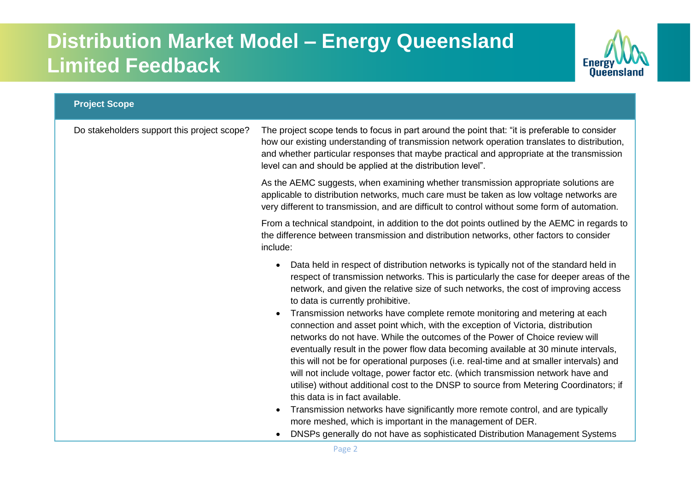

| <b>Project Scope</b>                        |                                                                                                                                                                                                                                                                                                                                                           |
|---------------------------------------------|-----------------------------------------------------------------------------------------------------------------------------------------------------------------------------------------------------------------------------------------------------------------------------------------------------------------------------------------------------------|
| Do stakeholders support this project scope? | The project scope tends to focus in part around the point that: "it is preferable to consider<br>how our existing understanding of transmission network operation translates to distribution,<br>and whether particular responses that maybe practical and appropriate at the transmission<br>level can and should be applied at the distribution level". |
|                                             | As the AEMC suggests, when examining whether transmission appropriate solutions are<br>applicable to distribution networks, much care must be taken as low voltage networks are<br>very different to transmission, and are difficult to control without some form of automation.                                                                          |
|                                             | From a technical standpoint, in addition to the dot points outlined by the AEMC in regards to<br>the difference between transmission and distribution networks, other factors to consider<br>include:                                                                                                                                                     |
|                                             | Data held in respect of distribution networks is typically not of the standard held in<br>respect of transmission networks. This is particularly the case for deeper areas of the<br>network, and given the relative size of such networks, the cost of improving access<br>to data is currently prohibitive.                                             |
|                                             | Transmission networks have complete remote monitoring and metering at each<br>connection and asset point which, with the exception of Victoria, distribution<br>networks do not have. While the outcomes of the Power of Choice review will<br>eventually result in the power flow data becoming available at 30 minute intervals,                        |
|                                             | this will not be for operational purposes (i.e. real-time and at smaller intervals) and<br>will not include voltage, power factor etc. (which transmission network have and<br>utilise) without additional cost to the DNSP to source from Metering Coordinators; if<br>this data is in fact available.                                                   |
|                                             | Transmission networks have significantly more remote control, and are typically<br>more meshed, which is important in the management of DER.<br>DNSPs generally do not have as sophisticated Distribution Management Systems                                                                                                                              |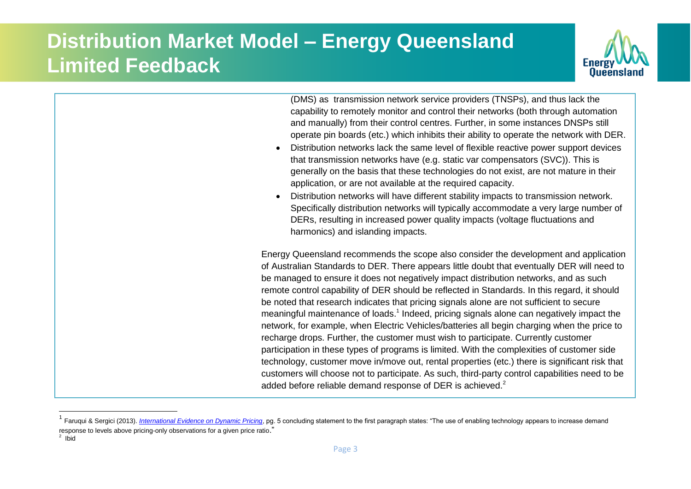

(DMS) as transmission network service providers (TNSPs), and thus lack the capability to remotely monitor and control their networks (both through automation and manually) from their control centres. Further, in some instances DNSPs still operate pin boards (etc.) which inhibits their ability to operate the network with DER.

- Distribution networks lack the same level of flexible reactive power support devices that transmission networks have (e.g. static var compensators (SVC)). This is generally on the basis that these technologies do not exist, are not mature in their application, or are not available at the required capacity.
- Distribution networks will have different stability impacts to transmission network. Specifically distribution networks will typically accommodate a very large number of DERs, resulting in increased power quality impacts (voltage fluctuations and harmonics) and islanding impacts.

Energy Queensland recommends the scope also consider the development and application of Australian Standards to DER. There appears little doubt that eventually DER will need to be managed to ensure it does not negatively impact distribution networks, and as such remote control capability of DER should be reflected in Standards. In this regard, it should be noted that research indicates that pricing signals alone are not sufficient to secure meaningful maintenance of loads.<sup>1</sup> Indeed, pricing signals alone can negatively impact the network, for example, when Electric Vehicles/batteries all begin charging when the price to recharge drops. Further, the customer must wish to participate. Currently customer participation in these types of programs is limited. With the complexities of customer side technology, customer move in/move out, rental properties (etc.) there is significant risk that customers will choose not to participate. As such, third-party control capabilities need to be added before reliable demand response of DER is achieved.<sup>2</sup>

 $\overline{a}$ 

<sup>&</sup>lt;sup>1</sup> Faruqui & Sergici (2013). *[International Evidence on Dynamic Pricing](https://poseidon01.ssrn.com/delivery.php?ID=890086065101089113025117096082030126018063019065021022098001073088008066126073094087097030044000025028117084083126008023020078037007003021006090106084031126085072121020061081081100027126112083090094072008117098085115079107106093079120097066106100091007&EXT=pdf)*, pg. 5 concluding statement to the first paragraph states: "The use of enabling technology appears to increase demand response to levels above pricing-only observations for a given price ratio."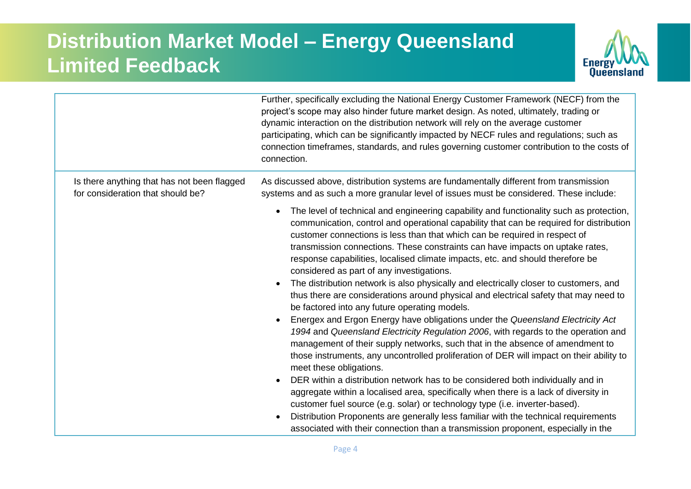

|                                                                                  | Further, specifically excluding the National Energy Customer Framework (NECF) from the<br>project's scope may also hinder future market design. As noted, ultimately, trading or<br>dynamic interaction on the distribution network will rely on the average customer<br>participating, which can be significantly impacted by NECF rules and regulations; such as<br>connection timeframes, standards, and rules governing customer contribution to the costs of<br>connection.                                                                                                                                                                                                                                                                                                                                                                                                                                                                                                                                                                                                                                                                                                                                                                                                                                                                                                                                                                                 |
|----------------------------------------------------------------------------------|------------------------------------------------------------------------------------------------------------------------------------------------------------------------------------------------------------------------------------------------------------------------------------------------------------------------------------------------------------------------------------------------------------------------------------------------------------------------------------------------------------------------------------------------------------------------------------------------------------------------------------------------------------------------------------------------------------------------------------------------------------------------------------------------------------------------------------------------------------------------------------------------------------------------------------------------------------------------------------------------------------------------------------------------------------------------------------------------------------------------------------------------------------------------------------------------------------------------------------------------------------------------------------------------------------------------------------------------------------------------------------------------------------------------------------------------------------------|
| Is there anything that has not been flagged<br>for consideration that should be? | As discussed above, distribution systems are fundamentally different from transmission<br>systems and as such a more granular level of issues must be considered. These include:                                                                                                                                                                                                                                                                                                                                                                                                                                                                                                                                                                                                                                                                                                                                                                                                                                                                                                                                                                                                                                                                                                                                                                                                                                                                                 |
|                                                                                  | The level of technical and engineering capability and functionality such as protection,<br>communication, control and operational capability that can be required for distribution<br>customer connections is less than that which can be required in respect of<br>transmission connections. These constraints can have impacts on uptake rates,<br>response capabilities, localised climate impacts, etc. and should therefore be<br>considered as part of any investigations.<br>The distribution network is also physically and electrically closer to customers, and<br>thus there are considerations around physical and electrical safety that may need to<br>be factored into any future operating models.<br>Energex and Ergon Energy have obligations under the Queensland Electricity Act<br>$\bullet$<br>1994 and Queensland Electricity Regulation 2006, with regards to the operation and<br>management of their supply networks, such that in the absence of amendment to<br>those instruments, any uncontrolled proliferation of DER will impact on their ability to<br>meet these obligations.<br>DER within a distribution network has to be considered both individually and in<br>aggregate within a localised area, specifically when there is a lack of diversity in<br>customer fuel source (e.g. solar) or technology type (i.e. inverter-based).<br>Distribution Proponents are generally less familiar with the technical requirements |
|                                                                                  | associated with their connection than a transmission proponent, especially in the                                                                                                                                                                                                                                                                                                                                                                                                                                                                                                                                                                                                                                                                                                                                                                                                                                                                                                                                                                                                                                                                                                                                                                                                                                                                                                                                                                                |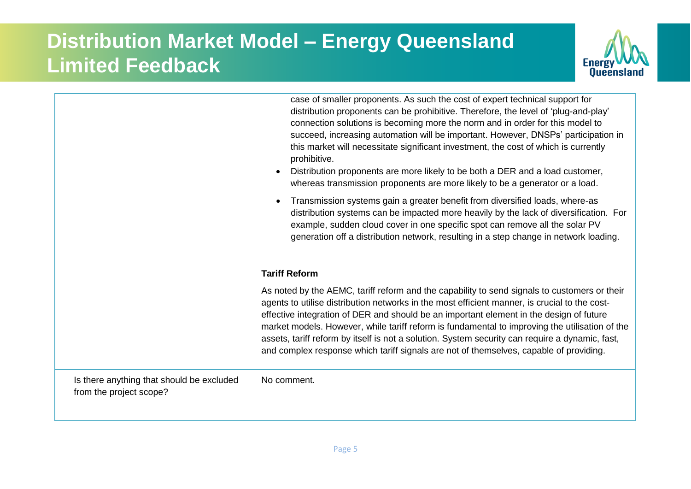

case of smaller proponents. As such the cost of expert technical support for distribution proponents can be prohibitive. Therefore, the level of 'plug-and-play' connection solutions is becoming more the norm and in order for this model to succeed, increasing automation will be important. However, DNSPs' participation in this market will necessitate significant investment, the cost of which is currently prohibitive.

- Distribution proponents are more likely to be both a DER and a load customer, whereas transmission proponents are more likely to be a generator or a load.
- Transmission systems gain a greater benefit from diversified loads, where-as distribution systems can be impacted more heavily by the lack of diversification. For example, sudden cloud cover in one specific spot can remove all the solar PV generation off a distribution network, resulting in a step change in network loading.

#### **Tariff Reform**

As noted by the AEMC, tariff reform and the capability to send signals to customers or their agents to utilise distribution networks in the most efficient manner, is crucial to the costeffective integration of DER and should be an important element in the design of future market models. However, while tariff reform is fundamental to improving the utilisation of the assets, tariff reform by itself is not a solution. System security can require a dynamic, fast, and complex response which tariff signals are not of themselves, capable of providing.

Is there anything that should be excluded from the project scope?

No comment.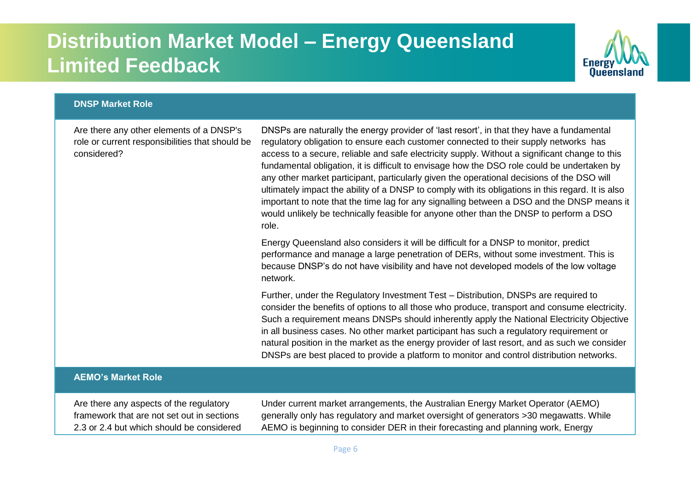

#### **DNSP Market Role**

Are there any other elements of a DNSP's role or current responsibilities that should be considered?

DNSPs are naturally the energy provider of 'last resort', in that they have a fundamental regulatory obligation to ensure each customer connected to their supply networks has access to a secure, reliable and safe electricity supply. Without a significant change to this fundamental obligation, it is difficult to envisage how the DSO role could be undertaken by any other market participant, particularly given the operational decisions of the DSO will ultimately impact the ability of a DNSP to comply with its obligations in this regard. It is also important to note that the time lag for any signalling between a DSO and the DNSP means it would unlikely be technically feasible for anyone other than the DNSP to perform a DSO role.

Energy Queensland also considers it will be difficult for a DNSP to monitor, predict performance and manage a large penetration of DERs, without some investment. This is because DNSP's do not have visibility and have not developed models of the low voltage network.

Further, under the Regulatory Investment Test – Distribution, DNSPs are required to consider the benefits of options to all those who produce, transport and consume electricity. Such a requirement means DNSPs should inherently apply the National Electricity Objective in all business cases. No other market participant has such a regulatory requirement or natural position in the market as the energy provider of last resort, and as such we consider DNSPs are best placed to provide a platform to monitor and control distribution networks.

#### **AEMO's Market Role**

Are there any aspects of the regulatory framework that are not set out in sections 2.3 or 2.4 but which should be considered Under current market arrangements, the Australian Energy Market Operator (AEMO) generally only has regulatory and market oversight of generators >30 megawatts. While AEMO is beginning to consider DER in their forecasting and planning work, Energy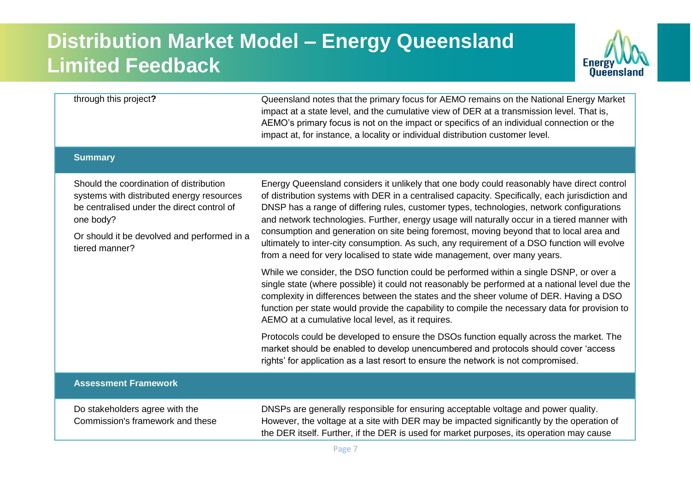

| through this project?                                                                                                                                                                                            | Queensland notes that the primary focus for AEMO remains on the National Energy Market<br>impact at a state level, and the cumulative view of DER at a transmission level. That is,<br>AEMO's primary focus is not on the impact or specifics of an individual connection or the<br>impact at, for instance, a locality or individual distribution customer level.                                                                                                                                                                                                                                                                                                 |
|------------------------------------------------------------------------------------------------------------------------------------------------------------------------------------------------------------------|--------------------------------------------------------------------------------------------------------------------------------------------------------------------------------------------------------------------------------------------------------------------------------------------------------------------------------------------------------------------------------------------------------------------------------------------------------------------------------------------------------------------------------------------------------------------------------------------------------------------------------------------------------------------|
| <b>Summary</b>                                                                                                                                                                                                   |                                                                                                                                                                                                                                                                                                                                                                                                                                                                                                                                                                                                                                                                    |
| Should the coordination of distribution<br>systems with distributed energy resources<br>be centralised under the direct control of<br>one body?<br>Or should it be devolved and performed in a<br>tiered manner? | Energy Queensland considers it unlikely that one body could reasonably have direct control<br>of distribution systems with DER in a centralised capacity. Specifically, each jurisdiction and<br>DNSP has a range of differing rules, customer types, technologies, network configurations<br>and network technologies. Further, energy usage will naturally occur in a tiered manner with<br>consumption and generation on site being foremost, moving beyond that to local area and<br>ultimately to inter-city consumption. As such, any requirement of a DSO function will evolve<br>from a need for very localised to state wide management, over many years. |
|                                                                                                                                                                                                                  | While we consider, the DSO function could be performed within a single DSNP, or over a<br>single state (where possible) it could not reasonably be performed at a national level due the<br>complexity in differences between the states and the sheer volume of DER. Having a DSO<br>function per state would provide the capability to compile the necessary data for provision to<br>AEMO at a cumulative local level, as it requires.                                                                                                                                                                                                                          |
|                                                                                                                                                                                                                  | Protocols could be developed to ensure the DSOs function equally across the market. The<br>market should be enabled to develop unencumbered and protocols should cover 'access<br>rights' for application as a last resort to ensure the network is not compromised.                                                                                                                                                                                                                                                                                                                                                                                               |
| <b>Assessment Framework</b>                                                                                                                                                                                      |                                                                                                                                                                                                                                                                                                                                                                                                                                                                                                                                                                                                                                                                    |
| Do stakeholders agree with the<br>Commission's framework and these                                                                                                                                               | DNSPs are generally responsible for ensuring acceptable voltage and power quality.<br>However, the voltage at a site with DER may be impacted significantly by the operation of<br>the DER itself. Further, if the DER is used for market purposes, its operation may cause                                                                                                                                                                                                                                                                                                                                                                                        |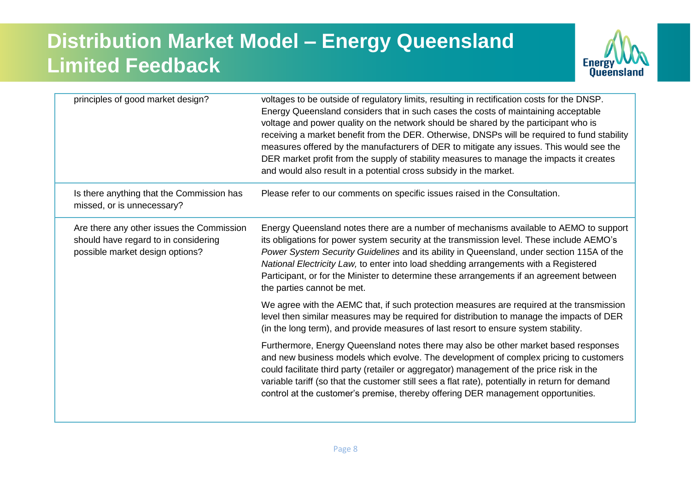

| principles of good market design?                                                                                    | voltages to be outside of regulatory limits, resulting in rectification costs for the DNSP.<br>Energy Queensland considers that in such cases the costs of maintaining acceptable<br>voltage and power quality on the network should be shared by the participant who is<br>receiving a market benefit from the DER. Otherwise, DNSPs will be required to fund stability<br>measures offered by the manufacturers of DER to mitigate any issues. This would see the<br>DER market profit from the supply of stability measures to manage the impacts it creates<br>and would also result in a potential cross subsidy in the market. |
|----------------------------------------------------------------------------------------------------------------------|--------------------------------------------------------------------------------------------------------------------------------------------------------------------------------------------------------------------------------------------------------------------------------------------------------------------------------------------------------------------------------------------------------------------------------------------------------------------------------------------------------------------------------------------------------------------------------------------------------------------------------------|
| Is there anything that the Commission has<br>missed, or is unnecessary?                                              | Please refer to our comments on specific issues raised in the Consultation.                                                                                                                                                                                                                                                                                                                                                                                                                                                                                                                                                          |
| Are there any other issues the Commission<br>should have regard to in considering<br>possible market design options? | Energy Queensland notes there are a number of mechanisms available to AEMO to support<br>its obligations for power system security at the transmission level. These include AEMO's<br>Power System Security Guidelines and its ability in Queensland, under section 115A of the<br>National Electricity Law, to enter into load shedding arrangements with a Registered<br>Participant, or for the Minister to determine these arrangements if an agreement between<br>the parties cannot be met.                                                                                                                                    |
|                                                                                                                      | We agree with the AEMC that, if such protection measures are required at the transmission<br>level then similar measures may be required for distribution to manage the impacts of DER<br>(in the long term), and provide measures of last resort to ensure system stability.                                                                                                                                                                                                                                                                                                                                                        |
|                                                                                                                      | Furthermore, Energy Queensland notes there may also be other market based responses<br>and new business models which evolve. The development of complex pricing to customers<br>could facilitate third party (retailer or aggregator) management of the price risk in the<br>variable tariff (so that the customer still sees a flat rate), potentially in return for demand<br>control at the customer's premise, thereby offering DER management opportunities.                                                                                                                                                                    |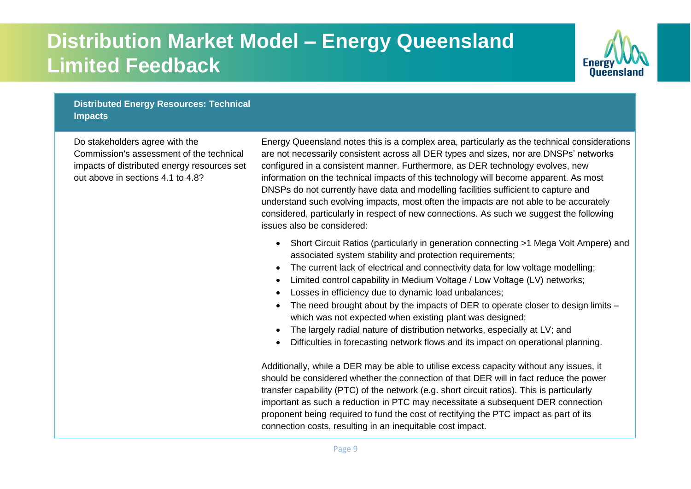

**Distributed Energy Resources: Technical Impacts**

Do stakeholders agree with the Commission's assessment of the technical impacts of distributed energy resources set out above in sections 4.1 to 4.8?

Energy Queensland notes this is a complex area, particularly as the technical considerations are not necessarily consistent across all DER types and sizes, nor are DNSPs' networks configured in a consistent manner. Furthermore, as DER technology evolves, new information on the technical impacts of this technology will become apparent. As most DNSPs do not currently have data and modelling facilities sufficient to capture and understand such evolving impacts, most often the impacts are not able to be accurately considered, particularly in respect of new connections. As such we suggest the following issues also be considered:

- Short Circuit Ratios (particularly in generation connecting >1 Mega Volt Ampere) and associated system stability and protection requirements;
- The current lack of electrical and connectivity data for low voltage modelling;
- Limited control capability in Medium Voltage / Low Voltage (LV) networks;
- Losses in efficiency due to dynamic load unbalances;
- The need brought about by the impacts of DER to operate closer to design limits which was not expected when existing plant was designed;
- The largely radial nature of distribution networks, especially at LV; and
- Difficulties in forecasting network flows and its impact on operational planning.

Additionally, while a DER may be able to utilise excess capacity without any issues, it should be considered whether the connection of that DER will in fact reduce the power transfer capability (PTC) of the network (e.g. short circuit ratios). This is particularly important as such a reduction in PTC may necessitate a subsequent DER connection proponent being required to fund the cost of rectifying the PTC impact as part of its connection costs, resulting in an inequitable cost impact.